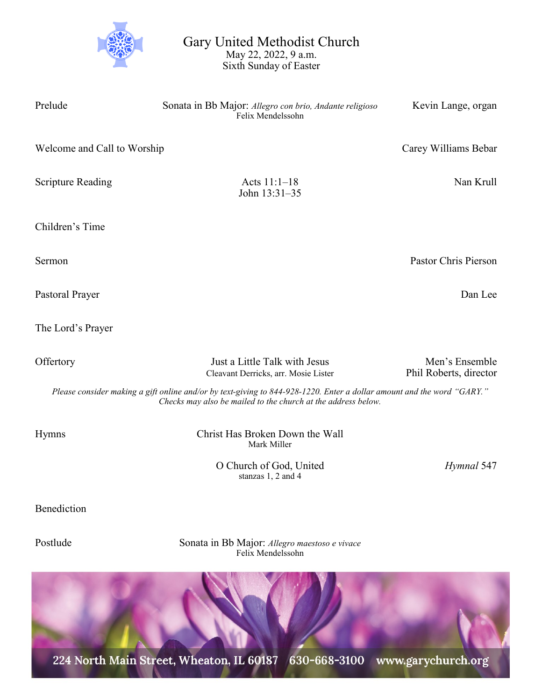

Gary United Methodist Church May 22, 2022, 9 a.m. Sixth Sunday of Easter

Prelude Sonata in Bb Major: *Allegro con brio, Andante religioso* Kevin Lange, organ Felix Mendelssohn Welcome and Call to Worship Carey Williams Bebar Scripture Reading **Acts 11:1–18** Nan Krull John 13:31–35 Children's Time Sermon Pastor Chris Pierson Pastoral Prayer Dan Lee The Lord's Prayer Offertory **Iust a Little Talk with Jesus** Men's Ensemble Cleavant Derricks, arr. Mosie Lister Phil Roberts, director *Please consider making a gift online and/or by text-giving to 844-928-1220. Enter a dollar amount and the word "GARY." Checks may also be mailed to the church at the address below.*  Hymns Christ Has Broken Down the Wall Mark Miller O Church of God, United *Hymnal* 547

Benediction

Postlude Sonata in Bb Major: *Allegro maestoso e vivace* Felix Mendelssohn

stanzas 1, 2 and 4